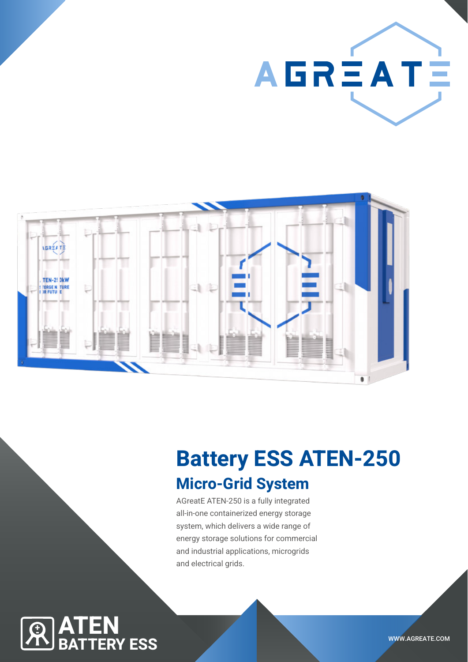



# Battery ESS ATEN-250

# Micro-Grid System

AGreatE ATEN-250 is a fully integrated all-in-one containerized energy storage system, which delivers a wide range of energy storage solutions for commercial and industrial applications, microgrids and electrical grids.

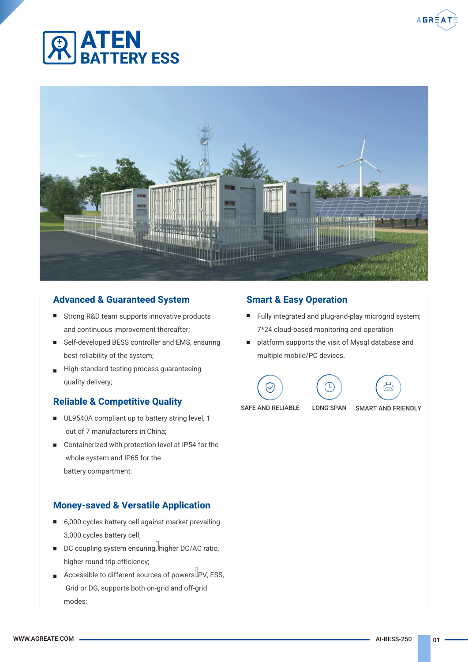



### Advanced & Guaranteed System

- Strong R&D team supports innovative products and continuous improvement thereafter;
- Self-developed BESS controller and EMS, ensuring best reliability of the system;
- High-standard testing process guaranteeing quality delivery;

### Reliable & Competitive Quality

- UL9540A compliant up to battery string level, 1 out of 7 manufacturers in China;
- Containerized with protection level at IP54 for the whole system and IP65 for the battery compartment;

### Money-saved & Versatile Application

- 6,000 cycles battery cell against market prevailing 3,000 cycles battery cell;
- DC coupling system ensuring higher DC/AC ratio, higher round trip efficiency;
- Accessible to different sources of powers  $\Box$ PV, ESS, Grid or DG, supports both on-grid and off-grid modes;

### Smart & Easy Operation

- Fully integrated and plug-and-play microgrid system; 7\*24 cloud-based monitoring and operation
- platform supports the visit of Mysql database and multiple mobile/PC devices.







SAFE AND RELIABLE LONG SPAN SMART AND FRIENDLY

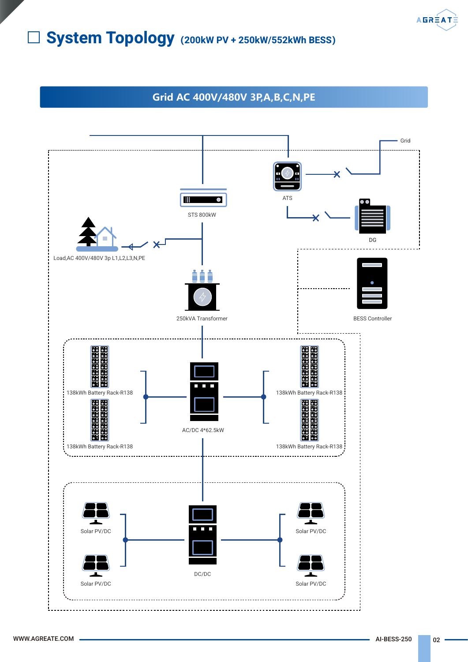# System Topology**(**200kW PV + 250kW/552kWh BESS**)**

**Grid AC 400V/480V 3P,A,B,C,N,PE**



**AGRÉATÉ**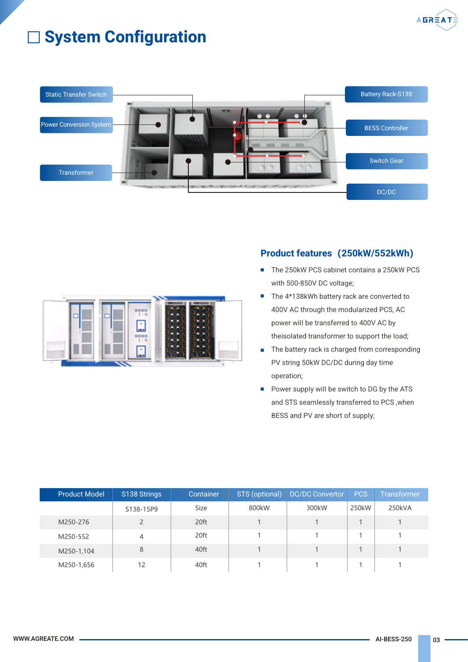

# System Configuration



### Product features**(**250kW/552kWh**)**

- The 250kW PCS cabinet contains a 250kW PCS  $\overline{\phantom{a}}$ with 500-850V DC voltage;
- The 4\*138kWh battery rack are converted to 400V AC through the moduIarized PCS, AC power wiII be transferred to 400V AC by theisoIated transformer to support the Ioad;
- The battery rack is charged from corresponding PV string 50kW DC/DC during day time operation;
- Power suppIy wiII be switch to DG by the ATS  $\overline{\phantom{a}}$ and STS seamIessly transferred to PCS ,when BESS and PV are short of suppIy;

| <b>Product Model</b> | S138 Strings   | Container | STS (optional) | <b>DC/DC Convertor</b> | <b>PCS</b> | <b>Transformer</b> |
|----------------------|----------------|-----------|----------------|------------------------|------------|--------------------|
|                      | S138-15P9      | Size      | 800kW          | 300kW                  | 250kW      | 250kVA             |
| M250-276             | $\overline{2}$ | 20ft      |                |                        |            |                    |
| M250-552             | 4              | 20ft      |                |                        |            |                    |
| M250-1,104           | 8              | 40ft      |                |                        |            |                    |
| M250-1,656           | 12             | 40ft      |                |                        |            |                    |

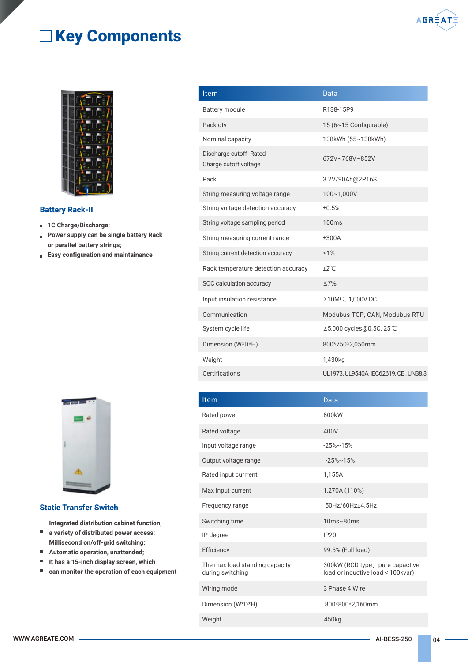# **EXEY Components**



#### Battery Rack-II

- **1C Charge/Discharge;**
- **Power supply can be single battery Rack** or paraIIeI battery strings;
- Easy configuration and maintainance



#### Static Transfer Switch

Integrated distribution cabinet function,

- a variety of distributed power access;
- Millisecond on/off-grid switching;
- $\blacksquare$ Automatic operation, unattended;
- It has a 15-inch display screen, which
- $\blacksquare$ can monitor the operation of each equipment

| Item                                             | Data                                  |
|--------------------------------------------------|---------------------------------------|
| <b>Battery module</b>                            | R138-15P9                             |
| Pack qty                                         | 15 (6~15 Configurable)                |
| Nominal capacity                                 | 138kWh (55~138kWh)                    |
| Discharge cutoff-Rated-<br>Charge cutoff voltage | 672V~768V~852V                        |
| Pack                                             | 3.2V/90Ah@2P16S                       |
| String measuring voltage range                   | 100~1,000V                            |
| String voltage detection accuracy                | ±0.5%                                 |
| String voltage sampling period                   | 100 <sub>ms</sub>                     |
| String measuring current range                   | ±300A                                 |
| String current detection accuracy                | $\leq 1\%$                            |
| Rack temperature detection accuracy              | ±2°C                                  |
| SOC calculation accuracy                         | $\leq 7\%$                            |
| Input insulation resistance                      | $\geq$ 10ΜΩ, 1,000V DC                |
| Communication                                    | Modubus TCP, CAN, Modubus RTU         |
| System cycle life                                | ≥5,000 cycles@0.5C, 25°C              |
| Dimension (W*D*H)                                | 800*750*2,050mm                       |
| Weight                                           | 1,430kg                               |
| Certifications                                   | UL1973, UL9540A, IEC62619, CE, UN38.3 |

| Item                                               | Data                                                                 |  |  |
|----------------------------------------------------|----------------------------------------------------------------------|--|--|
| Rated power                                        | 800kW                                                                |  |  |
| Rated voltage                                      | 400V                                                                 |  |  |
| Input voltage range                                | $-25%$ ~15%                                                          |  |  |
| Output voltage range                               | $-25\% \sim 15\%$                                                    |  |  |
| Rated input currrent                               | 1,155A                                                               |  |  |
| Max input current                                  | 1,270A (110%)                                                        |  |  |
| Frequency range                                    | 50Hz/60Hz±4.5Hz                                                      |  |  |
| Switching time                                     | $10ms \sim 80ms$                                                     |  |  |
| IP degree                                          | IP20                                                                 |  |  |
| Efficiency                                         | 99.5% (Full load)                                                    |  |  |
| The max load standing capacity<br>during switching | 300kW (RCD type, pure capactive<br>load or inductive load < 100kvar) |  |  |
| Wiring mode                                        | 3 Phase 4 Wire                                                       |  |  |
| Dimension (W*D*H)                                  | 800*800*2,160mm                                                      |  |  |
| Weight                                             | 450kg                                                                |  |  |

**AGRÉAT**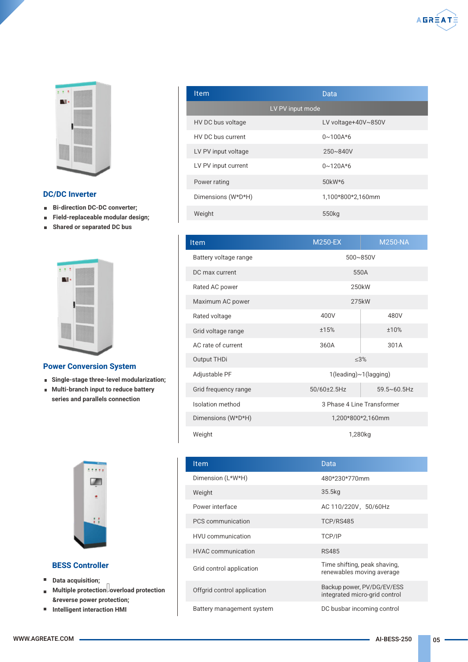

#### DC/DC Inverter

- **Bi-direction DC-DC converter;**
- Field-replaceable modular design;  $\mathbf{u}$
- $\blacksquare$ Shared or separated DC bus



#### Power Conversion System

- Single-stage three-level modularization;
- **Multi-branch input to reduce battery** series and parallels connection



#### BESS Controller

- **Data acquisition;**
- Multiple protection overload protection Ĩ. &reverse power protection;
- Intelligent interaction HMI

| Item                | Data                |
|---------------------|---------------------|
|                     | LV PV input mode    |
| HV DC bus voltage   | LV voltage+40V~850V |
| HV DC bus current   | $0 \sim 100A*6$     |
| LV PV input voltage | 250~840V            |
| LV PV input current | $0 \sim 120A * 6$   |
| Power rating        | 50kW*6              |
| Dimensions (W*D*H)  | 1,100*800*2,160mm   |
| Weight              | 550 <sub>kg</sub>   |

| <b>Item</b>           | <b>M250-EX</b>             | <b>M250-NA</b>        |  |  |  |
|-----------------------|----------------------------|-----------------------|--|--|--|
| Battery voltage range |                            | 500~850V              |  |  |  |
| DC max current        |                            | 550A                  |  |  |  |
| Rated AC power        |                            | 250kW                 |  |  |  |
| Maximum AC power      |                            | 275kW                 |  |  |  |
| Rated voltage         | 400V                       | 480V                  |  |  |  |
| Grid voltage range    | ±15%                       | ±10%                  |  |  |  |
| AC rate of current    | 360A                       | 301A                  |  |  |  |
| Output THDi           | < 3%                       |                       |  |  |  |
| Adjustable PF         |                            | 1(leading)~1(lagging) |  |  |  |
| Grid frequency range  | $50/60 \pm 2.5$ Hz         | $59.5 \times 60.5$ Hz |  |  |  |
| Isolation method      | 3 Phase 4 Line Transformer |                       |  |  |  |
| Dimensions (W*D*H)    | 1,200*800*2,160mm          |                       |  |  |  |
| Weight                | 1,280kg                    |                       |  |  |  |

| Item                        | Data                                                        |
|-----------------------------|-------------------------------------------------------------|
| Dimension (L*W*H)           | 480*230*770mm                                               |
| Weight                      | 35.5kg                                                      |
| Power interface             | AC 110/220V, 50/60Hz                                        |
| PCS communication           | TCP/RS485                                                   |
| <b>HVU</b> communication    | TCP/IP                                                      |
| <b>HVAC</b> communication   | <b>RS485</b>                                                |
| Grid control application    | Time shifting, peak shaving,<br>renewables moving average   |
| Offgrid control application | Backup power, PV/DG/EV/ESS<br>integrated micro-grid control |
| Battery management system   | DC busbar incoming control                                  |

**AGRÉATÉ**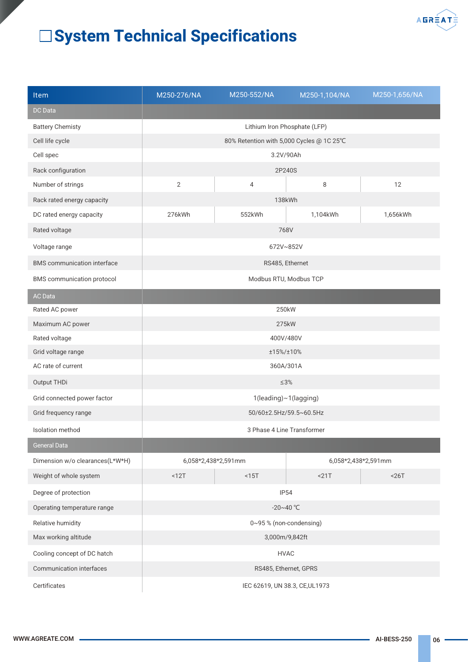

# System Technical Specifications

| <b>Item</b>                        | M250-276/NA                              | M250-552/NA                  | M250-1,104/NA       | M250-1,656/NA |  |
|------------------------------------|------------------------------------------|------------------------------|---------------------|---------------|--|
| <b>DC</b> Data                     |                                          |                              |                     |               |  |
| <b>Battery Chemisty</b>            |                                          | Lithium Iron Phosphate (LFP) |                     |               |  |
| Cell life cycle                    | 80% Retention with 5,000 Cycles @ 1C 25℃ |                              |                     |               |  |
| Cell spec                          | 3.2V/90Ah                                |                              |                     |               |  |
| Rack configuration                 | 2P240S                                   |                              |                     |               |  |
| Number of strings                  | $\overline{2}$<br>$\overline{4}$         |                              | 8                   | 12            |  |
| Rack rated energy capacity         |                                          | 138kWh                       |                     |               |  |
| DC rated energy capacity           | 276kWh                                   | 552kWh                       | 1,104kWh            | 1,656kWh      |  |
| Rated voltage                      | 768V                                     |                              |                     |               |  |
| Voltage range                      | 672V~852V                                |                              |                     |               |  |
| <b>BMS</b> communication interface | RS485, Ethernet                          |                              |                     |               |  |
| BMS communication protocol         | Modbus RTU, Modbus TCP                   |                              |                     |               |  |
| <b>AC</b> Data                     |                                          |                              |                     |               |  |
| Rated AC power                     | 250kW                                    |                              |                     |               |  |
| Maximum AC power                   | 275kW                                    |                              |                     |               |  |
| Rated voltage                      | 400V/480V                                |                              |                     |               |  |
| Grid voltage range                 | ±15%/±10%                                |                              |                     |               |  |
| AC rate of current                 | 360A/301A                                |                              |                     |               |  |
| Output THDi                        | $\leq 3\%$                               |                              |                     |               |  |
| Grid connected power factor        | 1(leading)~1(lagging)                    |                              |                     |               |  |
| Grid frequency range               | 50/60±2.5Hz/59.5~60.5Hz                  |                              |                     |               |  |
| Isolation method                   | 3 Phase 4 Line Transformer               |                              |                     |               |  |
| <b>General Data</b>                |                                          |                              |                     |               |  |
| Dimension w/o clearances(L*W*H)    | 6,058*2,438*2,591mm                      |                              | 6,058*2,438*2,591mm |               |  |
| Weight of whole system<br>$12T$    |                                          | $15T$                        | $21T$               | < 26T         |  |
| Degree of protection               | IP54                                     |                              |                     |               |  |
| Operating temperature range        | $-20 - 40$ °C                            |                              |                     |               |  |
| Relative humidity                  | 0~95% (non-condensing)                   |                              |                     |               |  |
| Max working altitude               | 3,000m/9,842ft                           |                              |                     |               |  |
| Cooling concept of DC hatch        | <b>HVAC</b>                              |                              |                     |               |  |
| Communication interfaces           | RS485, Ethernet, GPRS                    |                              |                     |               |  |
| Certificates                       | IEC 62619, UN 38.3, CE, UL1973           |                              |                     |               |  |